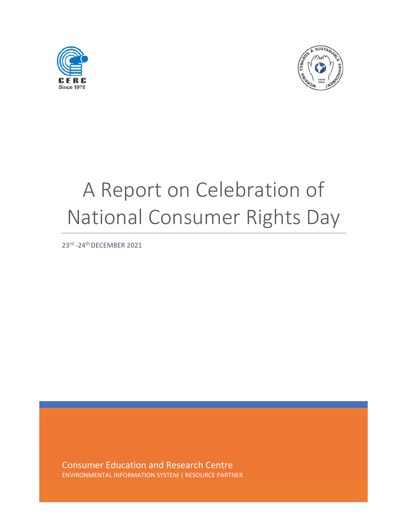



## A Report on Celebration of National Consumer Rights Day

23rd ‐24th DECEMBER 2021

Consumer Education and Research Centre ENVIRONMENTAL INFORMATION SYSTEM | RESOURCE PARTNER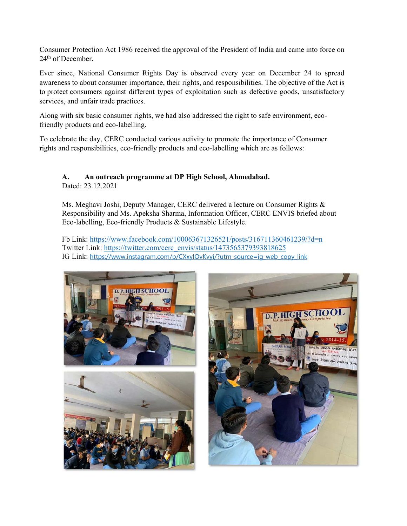Consumer Protection Act 1986 received the approval of the President of India and came into force on 24<sup>th</sup> of December.

Ever since, National Consumer Rights Day is observed every year on December 24 to spread awareness to about consumer importance, their rights, and responsibilities. The objective of the Act is to protect consumers against different types of exploitation such as defective goods, unsatisfactory services, and unfair trade practices.

Along with six basic consumer rights, we had also addressed the right to safe environment, ecofriendly products and eco-labelling.

To celebrate the day, CERC conducted various activity to promote the importance of Consumer rights and responsibilities, eco-friendly products and eco-labelling which are as follows:

## **A. An outreach programme at DP High School, Ahmedabad.**

Dated: 23.12.2021

Ms. Meghavi Joshi, Deputy Manager, CERC delivered a lecture on Consumer Rights & Responsibility and Ms. Apeksha Sharma, Information Officer, CERC ENVIS briefed about Eco-labelling, Eco-friendly Products & Sustainable Lifestyle.

Fb Link: https://www.facebook.com/100063671326521/posts/316711360461239/?d=n Twitter Link: https://twitter.com/cerc\_envis/status/1473565379393818625 IG Link: https://www.instagram.com/p/CXxyIOvKvyi/?utm\_source=ig\_web\_copy\_link





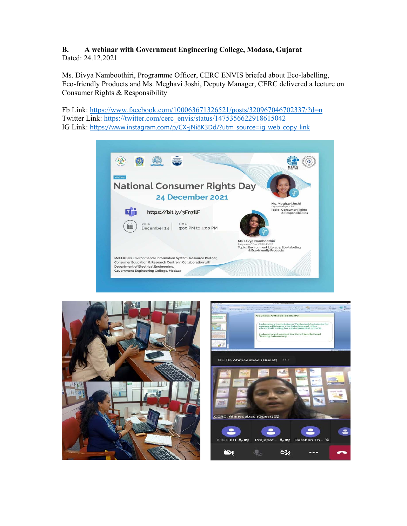## **B. A webinar with Government Engineering College, Modasa, Gujarat**  Dated: 24.12.2021

Ms. Divya Namboothiri, Programme Officer, CERC ENVIS briefed about Eco-labelling, Eco-friendly Products and Ms. Meghavi Joshi, Deputy Manager, CERC delivered a lecture on Consumer Rights & Responsibility

Fb Link: https://www.facebook.com/100063671326521/posts/320967046702337/?d=n Twitter Link: https://twitter.com/cerc\_envis/status/1475356622918615042 IG Link: https://www.instagram.com/p/CX-jNi8K3Dd/?utm\_source=ig\_web\_copy\_link